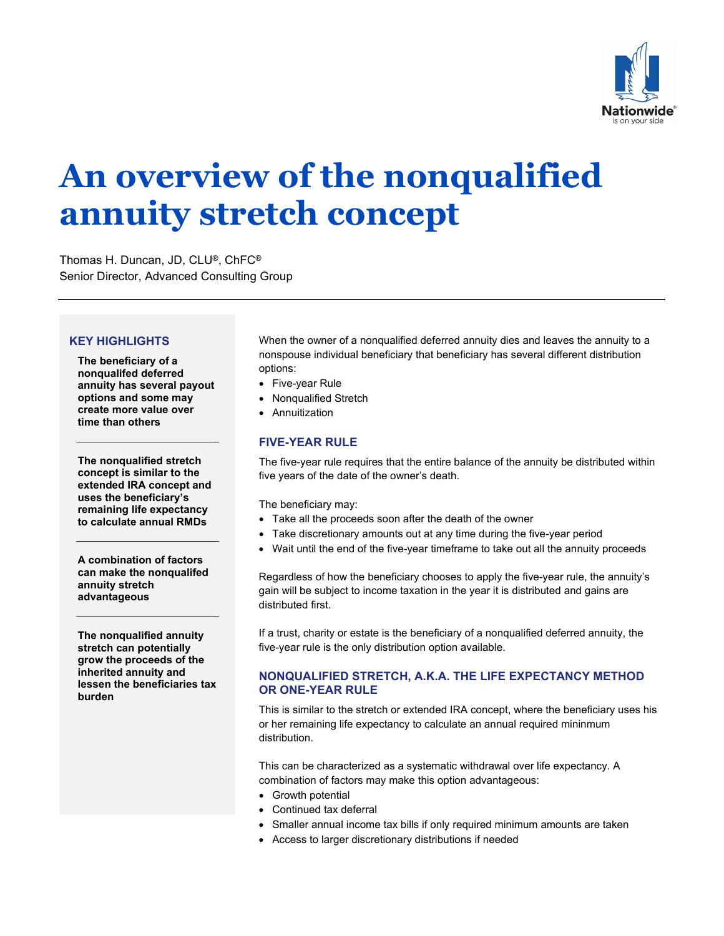

# **An overview of the nonqualified annuity stretch concept**

Thomas H. Duncan, JD, CLU®, ChFC® Senior Director, Advanced Consulting Group

### **KEY HIGHLIGHTS**

**The beneficiary of a nonqualifed deferred annuity has several payout options and some may create more value over time than others**

**The nonqualified stretch concept is similar to the extended IRA concept and uses the beneficiary's remaining life expectancy to calculate annual RMDs**

**A combination of factors can make the nonqualifed annuity stretch advantageous**

**The nonqualified annuity stretch can potentially grow the proceeds of the inherited annuity and lessen the beneficiaries tax burden** 

When the owner of a nonqualified deferred annuity dies and leaves the annuity to a nonspouse individual beneficiary that beneficiary has several different distribution options:

- Five-year Rule
- Nonqualified Stretch
- Annuitization

## **FIVE-YEAR RULE**

The five-year rule requires that the entire balance of the annuity be distributed within five years of the date of the owner's death.

The beneficiary may:

- Take all the proceeds soon after the death of the owner
- Take discretionary amounts out at any time during the five-year period
- Wait until the end of the five-year timeframe to take out all the annuity proceeds

Regardless of how the beneficiary chooses to apply the five-year rule, the annuity's gain will be subject to income taxation in the year it is distributed and gains are distributed first.

If a trust, charity or estate is the beneficiary of a nonqualified deferred annuity, the five-year rule is the only distribution option available.

### **NONQUALIFIED STRETCH, A.K.A. THE LIFE EXPECTANCY METHOD OR ONE-YEAR RULE**

This is similar to the stretch or extended IRA concept, where the beneficiary uses his or her remaining life expectancy to calculate an annual required mininmum distribution.

This can be characterized as a systematic withdrawal over life expectancy. A combination of factors may make this option advantageous:

- Growth potential
- Continued tax deferral
- Smaller annual income tax bills if only required minimum amounts are taken
- Access to larger discretionary distributions if needed